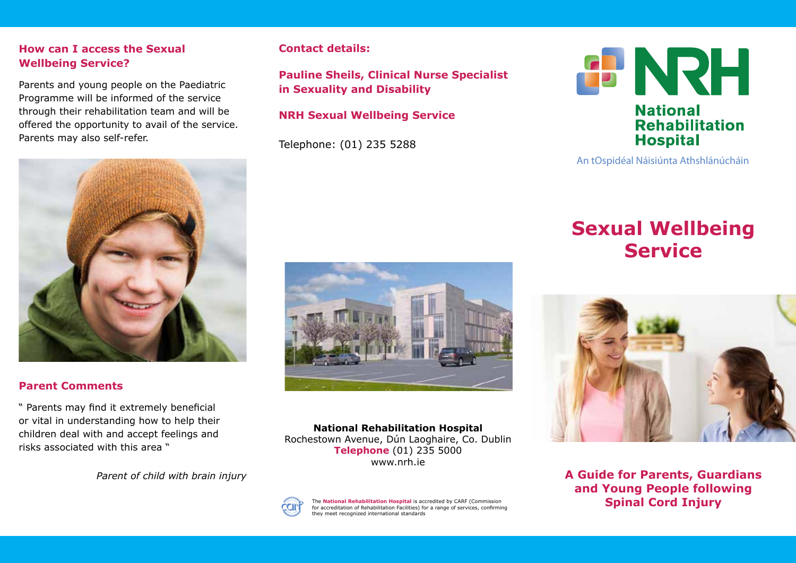## **How can I access the Sexual Wellbeing Service?**

Parents and young people on the Paediatric Programme will be informed of the service through their rehabilitation team and will be offered the opportunity to avail of the service. Parents may also self-refer.



## **Parent Comments**

" Parents may find it extremely beneficial or vital in understanding how to help their children deal with and accept feelings and risks associated with this area "

*Parent of child with brain injury*

## **Contact details:**

**Pauline Sheils, Clinical Nurse Specialist in Sexuality and Disability**

# **NRH Sexual Wellbeing Service**

Telephone: (01) 235 5288



**National Rehabilitation Hospital** Rochestown Avenue, Dún Laoghaire, Co. Dublin **Telephone** (01) 235 5000 www.nrh.ie



The **National Rehabilitation Hospital** is accredited by CARF (Commission for accreditation of Rehabilitation Facilities) for a range of services, confirming they meet recognized international standards



#### An tOspidéal Náisiúnta Athshlánúcháin

# **Sexual Wellbeing Service**



**A Guide for Parents, Guardians and Young People following Spinal Cord Injury**